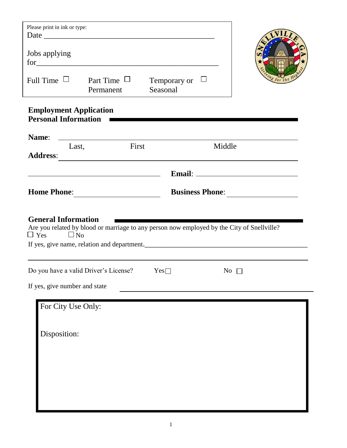| Please print in ink or type:<br>Jobs applying<br>Full Time $\Box$                                                                                                                               | $for \underline{\hspace{1cm}}$<br>Part Time $\Box$<br>Permanent                                                                                                                                       | Temporary or<br>Seasonal | $\overline{\phantom{a}}$ |  |  |  |  |  |  |  |
|-------------------------------------------------------------------------------------------------------------------------------------------------------------------------------------------------|-------------------------------------------------------------------------------------------------------------------------------------------------------------------------------------------------------|--------------------------|--------------------------|--|--|--|--|--|--|--|
|                                                                                                                                                                                                 | <b>Employment Application</b><br><b>Personal Information</b>                                                                                                                                          |                          |                          |  |  |  |  |  |  |  |
| Name:<br>Last,<br><b>Address:</b>                                                                                                                                                               | <u> 1989 - Johann Barn, fransk politik fotograf (d. 1989)</u><br><b>First</b><br><u> 1989 - Andrea Santa Alemania, amerikana amerikana amerikana amerikana amerikana amerikana amerikana amerikan</u> |                          | Middle                   |  |  |  |  |  |  |  |
|                                                                                                                                                                                                 | <u> 1980 - Johann Barn, fransk politik (d. 1980)</u>                                                                                                                                                  |                          |                          |  |  |  |  |  |  |  |
| <b>Home Phone:</b><br><b>Business Phone:</b>                                                                                                                                                    |                                                                                                                                                                                                       |                          |                          |  |  |  |  |  |  |  |
| <b>General Information</b><br>Are you related by blood or marriage to any person now employed by the City of Snellville?<br>$\Box$ Yes $\Box$ No<br>If yes, give name, relation and department. |                                                                                                                                                                                                       |                          |                          |  |  |  |  |  |  |  |
| Do you have a valid Driver's License?                                                                                                                                                           |                                                                                                                                                                                                       | Yes                      | N <sub>0</sub>           |  |  |  |  |  |  |  |
| If yes, give number and state                                                                                                                                                                   |                                                                                                                                                                                                       |                          |                          |  |  |  |  |  |  |  |
| For City Use Only:<br>Disposition:                                                                                                                                                              |                                                                                                                                                                                                       |                          |                          |  |  |  |  |  |  |  |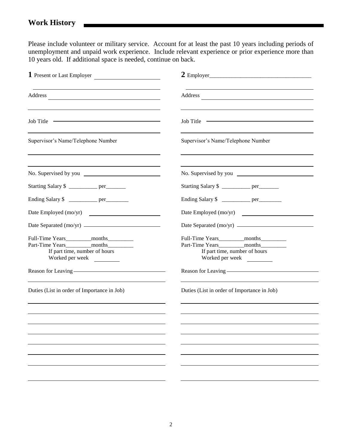Please include volunteer or military service. Account for at least the past 10 years including periods of unemployment and unpaid work experience. Include relevant experience or prior experience more than 10 years old. If additional space is needed, continue on back.

| 1 Present or Last Employer                                                                  |                                                                      |  |  |  |
|---------------------------------------------------------------------------------------------|----------------------------------------------------------------------|--|--|--|
|                                                                                             |                                                                      |  |  |  |
| Job Title                                                                                   | Job Title                                                            |  |  |  |
| Supervisor's Name/Telephone Number                                                          | Supervisor's Name/Telephone Number                                   |  |  |  |
|                                                                                             |                                                                      |  |  |  |
| Starting Salary \$ ___________ per________                                                  | Starting Salary \$ ___________ per________                           |  |  |  |
| Ending Salary \$ _____________ per__________                                                | Ending Salary \$ ____________ per_________                           |  |  |  |
| Date Employed (mo/yr)                                                                       | Date Employed (mo/yr)                                                |  |  |  |
|                                                                                             |                                                                      |  |  |  |
| If part time, number of hours<br>Worked per week<br>Reason for Leaving ———————————————————— | If part time, number of hours<br>Reason for Leaving ———————————————— |  |  |  |
| Duties (List in order of Importance in Job)                                                 | Duties (List in order of Importance in Job)                          |  |  |  |
|                                                                                             |                                                                      |  |  |  |
|                                                                                             |                                                                      |  |  |  |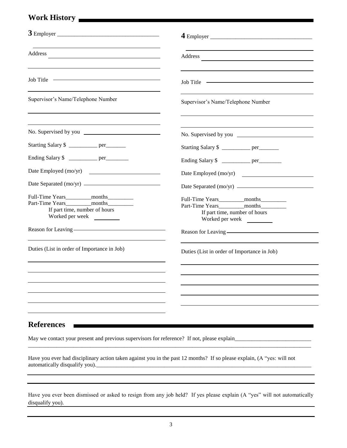## **Work History**

| Address and the contract of the contract of the contract of the contract of the contract of the contract of the contract of the contract of the contract of the contract of the contract of the contract of the contract of th |                                                                                                 |
|--------------------------------------------------------------------------------------------------------------------------------------------------------------------------------------------------------------------------------|-------------------------------------------------------------------------------------------------|
| Job Title                                                                                                                                                                                                                      | Job Title                                                                                       |
| Supervisor's Name/Telephone Number                                                                                                                                                                                             | Supervisor's Name/Telephone Number                                                              |
|                                                                                                                                                                                                                                |                                                                                                 |
| Starting Salary \$ _________ per_______                                                                                                                                                                                        | Starting Salary \$                                                                              |
| Ending Salary \$ ____________ per__________                                                                                                                                                                                    | Ending Salary \$ __________ per_________                                                        |
| Date Employed (mo/yr)                                                                                                                                                                                                          | Date Employed (mo/yr)                                                                           |
|                                                                                                                                                                                                                                | Date Separated (mo/yr)                                                                          |
| If part time, number of hours<br>Worked per week                                                                                                                                                                               | Full-Time Years____________months__________<br>If part time, number of hours<br>Worked per week |
| Reason for Leaving ————————————————————                                                                                                                                                                                        |                                                                                                 |
| Duties (List in order of Importance in Job)                                                                                                                                                                                    | Duties (List in order of Importance in Job)                                                     |
|                                                                                                                                                                                                                                |                                                                                                 |
|                                                                                                                                                                                                                                |                                                                                                 |
|                                                                                                                                                                                                                                |                                                                                                 |
|                                                                                                                                                                                                                                |                                                                                                 |
| <b>References</b>                                                                                                                                                                                                              |                                                                                                 |
| May we contact your present and previous supervisors for reference? If not, please explain                                                                                                                                     |                                                                                                 |

Have you ever had disciplinary action taken against you in the past 12 months? If so please explain, (A "yes: will not automatically disqualify you).\_\_\_\_\_\_\_\_\_\_\_\_\_\_\_\_\_\_\_\_\_\_\_\_\_\_\_\_\_\_\_\_\_\_\_\_\_\_\_\_\_\_\_\_\_\_\_\_\_\_\_\_\_\_\_\_\_\_\_\_\_\_\_\_\_\_\_\_\_\_\_\_\_\_\_\_

\_\_\_\_\_\_\_\_\_\_\_\_\_\_\_\_\_\_\_\_\_\_\_\_\_\_\_\_\_\_\_\_\_\_\_\_\_\_\_\_\_\_\_\_\_\_\_\_\_\_\_\_\_\_\_\_\_\_\_\_\_\_\_\_\_\_\_\_\_\_\_\_\_\_\_\_\_\_\_\_\_\_\_\_\_\_\_\_\_\_\_\_\_\_\_\_\_\_\_\_

Have you ever been dismissed or asked to resign from any job held? If yes please explain (A "yes" will not automatically disqualify you).